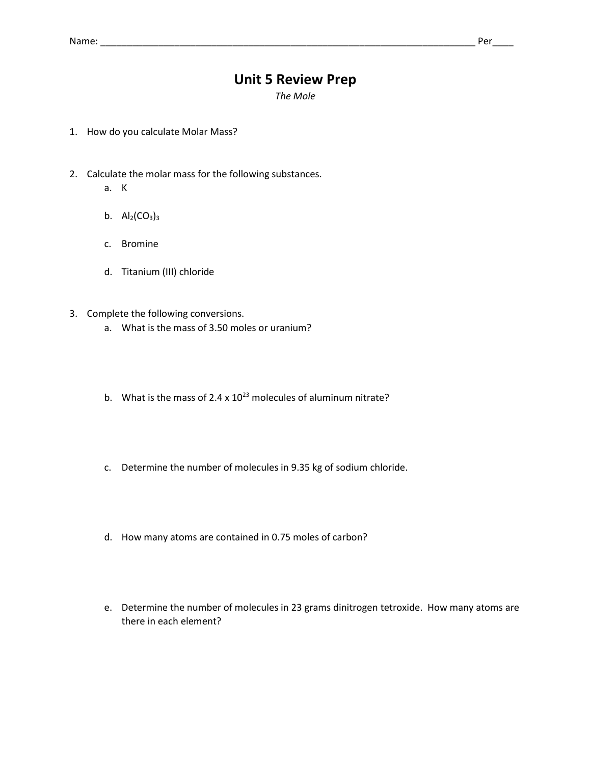## **Unit 5 Review Prep**

*The Mole*

- 1. How do you calculate Molar Mass?
- 2. Calculate the molar mass for the following substances.
	- a. K
	- b.  $Al_2(CO_3)_3$
	- c. Bromine
	- d. Titanium (III) chloride
- 3. Complete the following conversions.
	- a. What is the mass of 3.50 moles or uranium?
	- b. What is the mass of 2.4 x  $10^{23}$  molecules of aluminum nitrate?
	- c. Determine the number of molecules in 9.35 kg of sodium chloride.
	- d. How many atoms are contained in 0.75 moles of carbon?
	- e. Determine the number of molecules in 23 grams dinitrogen tetroxide. How many atoms are there in each element?